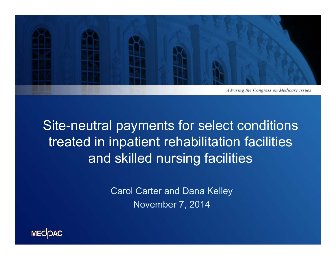

## Site-neutral payments for select conditions treated in inpatient rehabilitation facilities and skilled nursing facilities

Carol Carter and Dana Kelley November 7, 2014

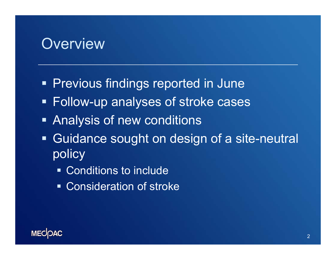#### **Overview**

- **Previous findings reported in June**
- Follow-up analyses of stroke cases
- **Analysis of new conditions**
- $\begin{array}{c} \rule{0.2cm}{0.15mm} \rule{0.2cm}{0.15mm} \rule{0.2cm}{0.15mm} \rule{0.2cm}{0.15mm} \rule{0.2cm}{0.15mm} \rule{0.2cm}{0.15mm} \rule{0.2cm}{0.15mm} \rule{0.2cm}{0.15mm} \rule{0.2cm}{0.15mm} \rule{0.2cm}{0.15mm} \rule{0.2cm}{0.15mm} \rule{0.2cm}{0.15mm} \rule{0.2cm}{0.15mm} \rule{0.2cm}{0.15mm} \rule{0.2cm}{0.15mm} \rule{$  Guidance sought on design of a site-neutral policy
	- Conditions to include
	- Consideration of stroke

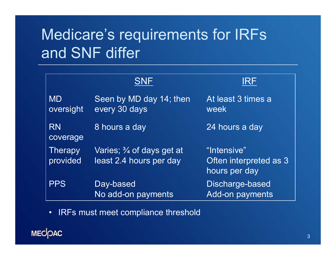# Medicare's requirements for IRFs and SNF differ

|                            | <b>SNF</b>                                                      | IRF                                                    |
|----------------------------|-----------------------------------------------------------------|--------------------------------------------------------|
| <b>MD</b><br>oversight     | Seen by MD day 14; then<br>every 30 days                        | At least 3 times a<br>week                             |
| <b>RN</b><br>coverage      | 8 hours a day                                                   | 24 hours a day                                         |
| <b>Therapy</b><br>provided | Varies; $\frac{3}{4}$ of days get at<br>least 2.4 hours per day | "Intensive"<br>Often interpreted as 3<br>hours per day |
| <b>PPS</b>                 | Day-based<br>No add-on payments                                 | Discharge-based<br><b>Add-on payments</b>              |

• IRFs must meet compliance threshold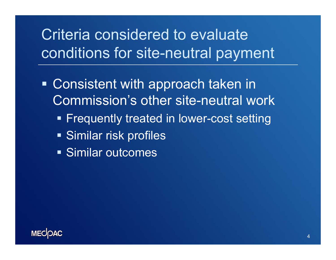## Criteria considered to evaluate conditions for site-neutral payment

- **Consistent with approach taken in** Commission's other site-neutral work
	- **Example 1 Frequently treated in lower-cost setting**
	- **Similar risk profiles**
	- Similar outcomes

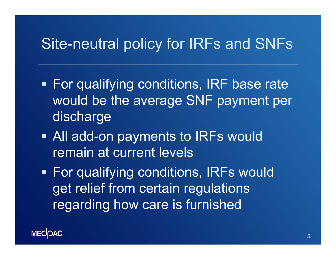### Site-neutral policy for IRFs and SNFs

- **For qualifying conditions, IRF base rate** would be the average SNF payment per discharge
- All add-on payments to IRFs would remain at current levels

 For qualifying conditions, IRFs would get relief from certain regulations regarding how care is furnished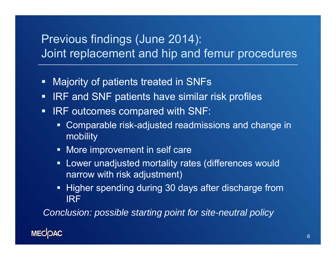#### Previous findings (June 2014): Joint replacement and hip and femur procedures

- $\blacksquare$ Majority of patients treated in SNFs
- $\blacksquare$ IRF and SNF patients have similar risk profiles
- $\blacksquare$ IRF outcomes compared with SNF:
	- $\blacksquare$  Comparable risk-adjusted readmissions and change in mobility
	- **More improvement in self care**
	- **EXTE:** Lower unadjusted mortality rates (differences would narrow with risk adjustment)
	- **Higher spending during 30 days after discharge from** IRF

*Conclusion: possible starting point for site-neutral policy*

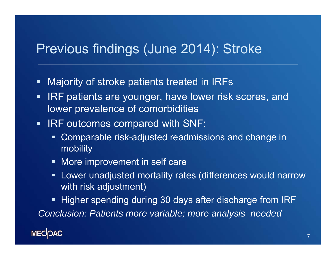#### Previous findings (June 2014): Stroke

- $\blacksquare$ Majority of stroke patients treated in IRFs
- П IRF patients are younger, have lower risk scores, and lower prevalence of comorbidities
- $\blacksquare$  IRF outcomes compared with SNF:
	- Comparable risk-adjusted readmissions and change in mobility
	- **More improvement in self care**
	- Lower unadjusted mortality rates (differences would narrow with risk adjustment)

■ Higher spending during 30 days after discharge from IRF *Conclusion: Patients more variable; more analysis needed*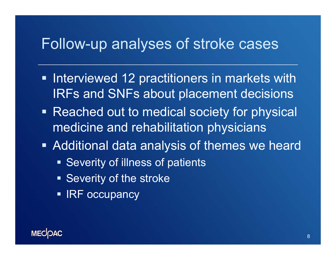#### Follow-up analyses of stroke cases

- **Interviewed 12 practitioners in markets with** IRFs and SNFs about placement decisions
- **Reached out to medical society for physical** medicine and rehabilitation physicians
- Additional data analysis of themes we heard
	- **Severity of illness of patients**
	- **Severity of the stroke**
	- IRF occupancy

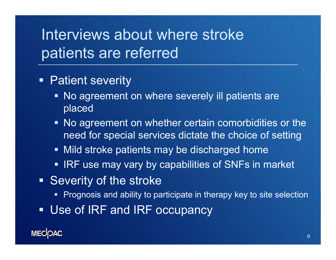## Interviews about where stroke patients are referred

- **Patient severity** 
	- **No agreement on where severely ill patients are** placed
	- No agreement on whether certain comorbidities or the need for special services dictate the choice of setting
	- **Mild stroke patients may be discharged home**
	- IRF use may vary by capabilities of SNFs in market
- **Severity of the stroke** 
	- $\;\blacksquare\;$  Prognosis and ability to participate in therapy key to site selection
- Use of IRF and IRF occupancy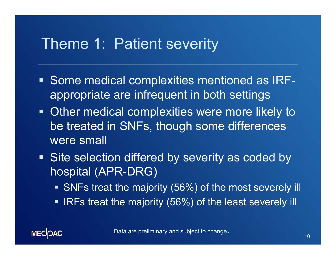#### Theme 1: Patient severity

- **Some medical complexities mentioned as IRF**appropriate are infrequent in both settings
- **Other medical complexities were more likely to** be treated in SNFs, though some differences were small
- **Site selection differed by severity as coded by** hospital (APR-DRG)
	- **SNFs treat the majority (56%) of the most severely ill**
	- $\blacksquare$ IRFs treat the majority (56%) of the least severely ill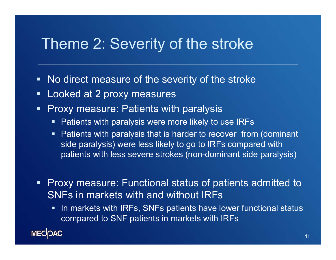#### Theme 2: Severity of the stroke

- $\blacksquare$ No direct measure of the severity of the stroke
- $\blacksquare$ Looked at 2 proxy measures
- $\blacksquare$  Proxy measure: Patients with paralysis
	- $\blacksquare$ Patients with paralysis were more likely to use IRFs
	- $\blacksquare$  Patients with paralysis that is harder to recover from (dominant side paralysis) were less likely to go to IRFs compared with patients with less severe strokes (non-dominant side paralysis)

 $\blacksquare$  Proxy measure: Functional status of patients admitted to SNFs in markets with and without IRFs

 $\blacksquare$  In markets with IRFs, SNFs patients have lower functional status compared to SNF patients in markets with IRFs

**MECOAC**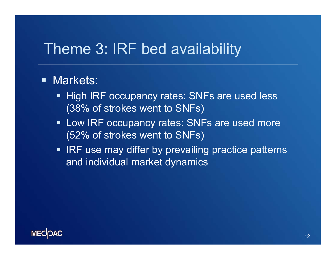## Theme 3: IRF bed availability

#### **- Markets:**

- **High IRF occupancy rates: SNFs are used less** (38% of strokes went to SNFs)
- **Low IRF occupancy rates: SNFs are used more** (52% of strokes went to SNFs)
- IRF use may differ by prevailing practice patterns and individual market dynamics

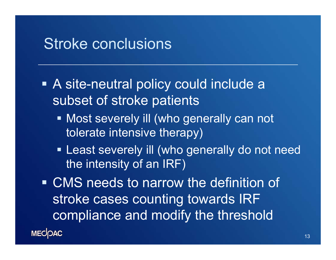#### Stroke conclusions

- A site-neutral policy could include a subset of stroke patients
	- **Most severely ill (who generally can not** tolerate intensive therapy)
	- **Example 20 Example 20 Figure 10 Figure 10 Figure 10 Figure 10 Figure 10 Figure 10 Figure 10 Figure 10 Figure 10 Figure 10 Figure 10 Figure 10 Figure 10 Figure 10 Figure 10 Figure 10 Figure 10 Figure 10 Figure 10 Figure 10** the intensity of an IRF)
- CMS needs to narrow the definition of stroke cases counting towards IRF compliance and modify the threshold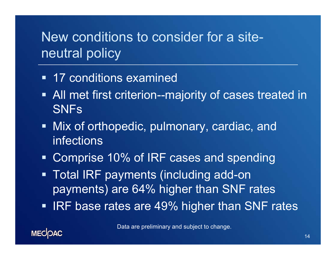### New conditions to consider for a siteneutral policy

- 17 conditions examined
- **All met first criterion--majority of cases treated in** SNFs
- Mix of orthopedic, pulmonary, cardiac, and infections
- Comprise 10% of IRF cases and spending
- $\blacksquare$  Total IRF payments (including add-on payments) are 64% higher than SNF rates
- IRF base rates are 49% higher than SNF rates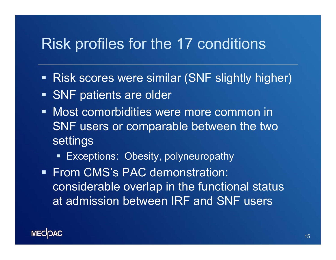#### Risk profiles for the 17 conditions

- **Risk scores were similar (SNF slightly higher)**
- **SNF patients are older**
- Most comorbidities were more common in SNF users or comparable between the two settings
	- **Exceptions: Obesity, polyneuropathy**
- **From CMS's PAC demonstration:** considerable overlap in the functional status at admission between IRF and SNF users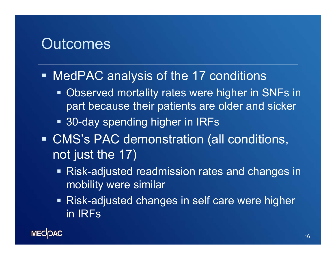#### **Outcomes**

#### MedPAC analysis of the 17 conditions

- **Observed mortality rates were higher in SNFs in** part because their patients are older and sicker
- 30-day spending higher in IRFs
- CMS's PAC demonstration (all conditions, not just the 17)
	- Risk-adjusted readmission rates and changes in mobility were similar
	- Risk-adjusted changes in self care were higher in IRFs

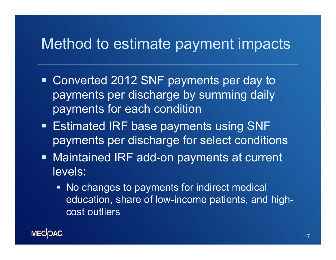#### Method to estimate payment impacts

- Converted 2012 SNF payments per day to payments per discharge by summing daily payments for each condition
- Estimated IRF base payments using SNF payments per discharge for select conditions
- Maintained IRF add-on payments at current levels:
	- No changes to payments for indirect medical education, share of low-income patients, and highcost outliers

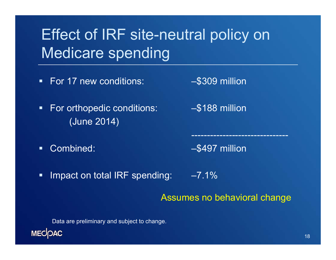# Effect of IRF site-neutral policy on Medicare spending

- For 17 new conditions: –\$309 million
	-
- $\blacksquare$  For orthopedic conditions: –\$188 million (June 2014)
- $\blacksquare$

Combined: – – – – – – – – – – S497 million

-------------------------------

 $\blacksquare$  . Impact on total IRF spending: –7.1%

#### Assumes no behavioral change

Data are preliminary and subject to change.

**MECOAC**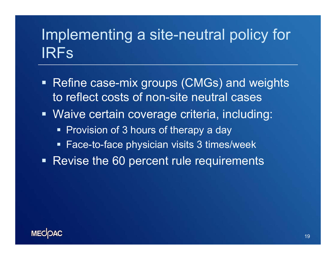## Implementing a site-neutral policy for IRFs

- Refine case-mix groups (CMGs) and weights to reflect costs of non-site neutral cases
- Waive certain coverage criteria, including:
	- **Provision of 3 hours of therapy a day**
	- Face-to-face physician visits 3 times/week
- Revise the 60 percent rule requirements

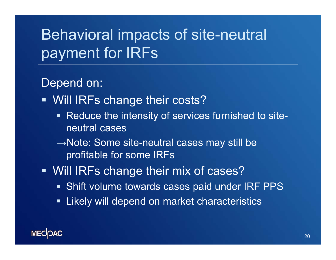# Behavioral impacts of site-neutral payment for IRFs

#### Depend on:

- **Will IRFs change their costs?** 
	- **Reduce the intensity of services furnished to site**neutral cases
	- $\rightarrow$ Note: Some site-neutral cases may still be profitable for some IRFs
- **Will IRFs change their mix of cases?** 
	- Shift volume towards cases paid under IRF PPS
	- Likely will depend on market characteristics